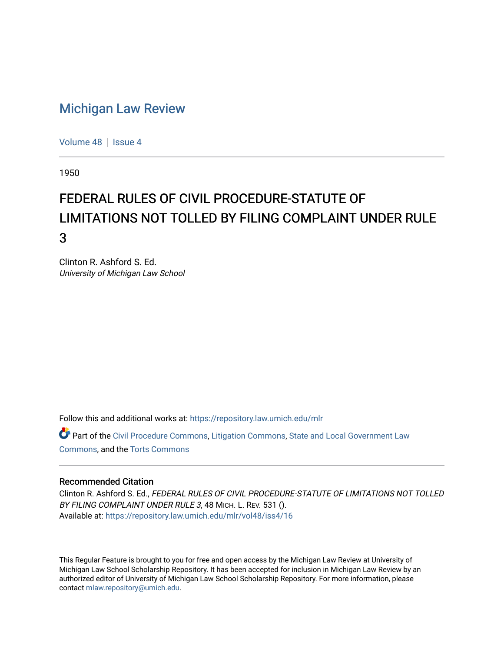## [Michigan Law Review](https://repository.law.umich.edu/mlr)

[Volume 48](https://repository.law.umich.edu/mlr/vol48) | [Issue 4](https://repository.law.umich.edu/mlr/vol48/iss4)

1950

## FEDERAL RULES OF CIVIL PROCEDURE-STATUTE OF LIMITATIONS NOT TOLLED BY FILING COMPLAINT UNDER RULE 3

Clinton R. Ashford S. Ed. University of Michigan Law School

Follow this and additional works at: [https://repository.law.umich.edu/mlr](https://repository.law.umich.edu/mlr?utm_source=repository.law.umich.edu%2Fmlr%2Fvol48%2Fiss4%2F16&utm_medium=PDF&utm_campaign=PDFCoverPages) 

Part of the [Civil Procedure Commons,](http://network.bepress.com/hgg/discipline/584?utm_source=repository.law.umich.edu%2Fmlr%2Fvol48%2Fiss4%2F16&utm_medium=PDF&utm_campaign=PDFCoverPages) [Litigation Commons](http://network.bepress.com/hgg/discipline/910?utm_source=repository.law.umich.edu%2Fmlr%2Fvol48%2Fiss4%2F16&utm_medium=PDF&utm_campaign=PDFCoverPages), State and Local Government Law [Commons](http://network.bepress.com/hgg/discipline/879?utm_source=repository.law.umich.edu%2Fmlr%2Fvol48%2Fiss4%2F16&utm_medium=PDF&utm_campaign=PDFCoverPages), and the [Torts Commons](http://network.bepress.com/hgg/discipline/913?utm_source=repository.law.umich.edu%2Fmlr%2Fvol48%2Fiss4%2F16&utm_medium=PDF&utm_campaign=PDFCoverPages) 

## Recommended Citation

Clinton R. Ashford S. Ed., FEDERAL RULES OF CIVIL PROCEDURE-STATUTE OF LIMITATIONS NOT TOLLED BY FILING COMPLAINT UNDER RULE 3, 48 MICH. L. REV. 531 (). Available at: [https://repository.law.umich.edu/mlr/vol48/iss4/16](https://repository.law.umich.edu/mlr/vol48/iss4/16?utm_source=repository.law.umich.edu%2Fmlr%2Fvol48%2Fiss4%2F16&utm_medium=PDF&utm_campaign=PDFCoverPages) 

This Regular Feature is brought to you for free and open access by the Michigan Law Review at University of Michigan Law School Scholarship Repository. It has been accepted for inclusion in Michigan Law Review by an authorized editor of University of Michigan Law School Scholarship Repository. For more information, please contact [mlaw.repository@umich.edu](mailto:mlaw.repository@umich.edu).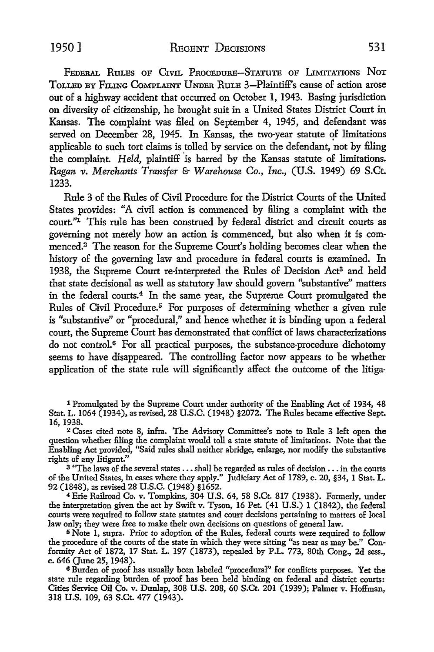1950] RECENT DECISIONS 531

FEDERAL RuLEs OF CIVIL PROCEDURE-STATUTE OF LIMITATIONS NoT ToLLED BY FILING COMPLAINT UNDER RuLE 3-Plaintiff's cause of action arose out of a highway accident that occurred on October 1, 1943. Basing jurisdiction on diversity of citizenship, he brought suit in a United States District Court in Kansas. The complaint was filed on September 4, 1945, and defendant was served on December 28, 1945. In Kansas, the two-year statute of limitations applicable to such tort claims is tolled by service on the defendant, not by filing the complaint. *Held*, plaintiff is barred by the Kansas statute of limitations. *Ragan v. Merchants Transfer* & *Warehouse Co., Inc.,* (U.S. 1949) 69 S.Ct. 1233.

Rule 3 of the Rules of Civil Procedure for the District Courts of the United States provides: "A civil action is commenced by filing a complaint with the court."<sup>1</sup> This rule has been construed by federal district and circuit courts as governing not merely how an action is commenced, but also when it is com· menced.2 The reason for the Supreme Court's holding becomes clear when the history of the governing law and procedure in federal courts is examined. In 1938, the Supreme Court re-interpreted the Rules of Decision Act3 and held that state decisional as well as statutory law should govern "substantive" matters in the federal courts.4 In the same year, the Supreme Court promulgated the Rules of Civil Procedure.<sup>5</sup> For purposes of determining whether a given rule is "substantive" or "procedural," and hence whether it is binding upon a federal court, the Supreme Court has demonstrated that conllict of laws characterizations do not control.<sup>6</sup> For all practical purposes, the substance-procedure dichotomy seems to have disappeared. The controlling factor now appears to be whether application of the state rule will significantly affect the outcome of the litiga-

1 Promulgated by the Supreme Court under authority of the Enabling Act of 1934, 48 Stat. L. 1064 (1934), as revised, 28 U.S.C. (1948) §2072. The Rules became effective Sept. 16, 1938.

<sup>2</sup>Cases cited note 8, infra. The Advisory Committee's note to Rule 3 left open the question whether filing the complaint would toll a state statute of limitations. Note that the Enabling Act provided, "Said rules shall neither abridge, enlarge, nor modify the substantive rights of any litigant."

<sup>3</sup> "The laws of the several states . . . shall be regarded as rules of decision . . . in the courts of the United States, in cases where they apply." Judiciary Act of 1789, c. 20, §34, 1 Stat. L. 92 (1848), as revised 28 U.S.C. (1948) §1652.

<sup>4</sup>Erie Railroad Co. v. Tompkins, 304 U.S. 64, 58 S.Ct. 817 (1938). Formerly, under the interpretation given the act by Swift v. Tyson, 16 Pet. (41 U.S.) 1 (1842), the federal courts were required to follow state statutes and court decisions pertaining to matters of local law only; they were free to make their own decisions on questions of general law.

<sup>5</sup>Note 1, supra. Prior to adoption of the Rules, federal courts were required to follow the procedure of the courts of the state in which they were sitting "as near as may be." Con· formity Act of 1872, 17 Stat. L. 197 (1873), repealed by P.L. 773, 80th Cong., 2d sess., c. 646 Qune 25, 1948).

<sup>6</sup>Burden of proof has usually been labeled "procedural" for conflicts purposes. Yet the state rule regarding burden of proof has been held binding on federal and district courts: Cities Service Oil Co. v. Dunlap, 308 U.S. 208, 60 S.Ct. 201 (1939); Palmer v. Hoffman, 318 U.S. 109, 63 S.Ct. 477 (1943).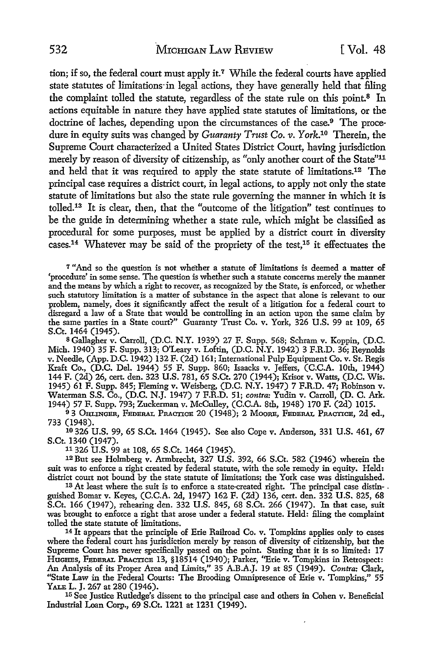tion; if so, the federal court must apply it.<sup>7</sup> While the federal courts have applied state statutes of limitations·in legal actions, they have generally held that filing the complaint tolled the statute, regardless of the state rule on this point.<sup>8</sup> In actions equitable in nature they have applied state statutes of limitations, or the doctrine of laches, depending upon the circumstances of the case.<sup>9</sup> The procedure in equity suits was changed by *Guaranty Trust Co. v.* York.10 Therein, the Supreme Court characterized a United States District Court, having jurisdiction merely by reason of diversity of citizenship, as "only another court of the State"<sup>11</sup> and held that it was required to apply the state statute of limitations.12 The principal case requires a district court, in legal actions, to apply not only the state statute of limitations but also the state rule governing the manner in which it is tolled.13 It is clear, then, that the "outcome of the litigation" test continues to be the guide in determining whether a state rule, which might be classified as procedural for some purposes, must be applied by a district court in diversity cases.14 Whatever may be said of the propriety of the test,15 it effectuates the

<sup>7</sup>"And so the question is not whether a statute of limitations is deemed a matter of 'procedure' in some sense. The question is whether such a statute concerns merely the manner and the means by which a right to recover, as recognized by the State, is enforced, or whether such statutory limitation is a matter of substance in the aspect that alone is relevant to our problem, namely, does it significantly affect the result of a litigation for a federal court to disregard a law of a State that would be controlling in an action upon the same claim by the same parties in a State court?" Guaranty Trust Co. v. York, 326 U.S. 99 at 109, 65 S.Ct. 1464 (1945).

s Gallagher v. Carroll, (D.C. N.Y. 1939) 27 F. Supp. 568; Schram v. Koppin, (D.C. Mich. 1940) 35 F. Supp. 313; O'Leary v. Loftin, (D.C. N.Y. 1942) 3 F.R.D. 36; Reynolds v. Needle, (App. D.C. 1942) 132 F. (2d) 161; International Pulp Equipment Co. v. St. Regis Kraft Co., (D.C. Del. 1944) 55 F. Supp. 860; Isaacks v. Jeffers, (C.C.A. 10th, 1944) 144 F. (2d) 26, cert. den. 323 U.S. 781, 65 S.Ct. 270 (1944); Krisor v. Watts, (D.C. Wis. 1945) 61 F. Supp. 845; Fleming v. Weisberg, (D.C. N.Y. 1947) 7 F.R.D. 47; Robinson v. Waterman S.S. Co., (D.C. N.J. 1947) 7 F.R.D. 51; *contra:* Yudin v. Carroll, (D. C. Ark. 1944) 57 F. Supp. 793; Zuckerman v. McCulley, (C.C.A. 8th, 1948) 170 F. (2d) 1015.

<sup>9</sup>3 OHLINGER, FEDERAL PRACTICE 20 (1948); 2 MooRE, FEDERAL PRACTICE, 2d ed., 733 (1948).

<sup>10</sup>326 U.S. 99, 65 S.Ct. 1464 (1945). See also Cope v. Anderson, 331 U.S. 461, 67 S.Ct. 1340 (1947).<br><sup>11</sup> 326 U.S. 99 at 108, 65 S.Ct. 1464 (1945).

<sup>12</sup> But see Holmberg v. Armbrecht, 327 U.S. 392, 66 S.Ct. 582 (1946) wherein the suit was to enforce a right created by federal statute, with the sole remedy in equity. Held:<br>district court not bound by the state statute of limitations; the York case was distinguished.

13 At least where the suit is to enforce a state-created right. The principal case distinguished Bomar v. Keyes, (C.C.A. 2d, 1947) 162 F. (2d) 136, cert. den. 332 U.S. 825, 68 S.Ct. 166 (1947), rehearing den. 332 U.S. 845, 68 S.Ct. 266 (1947). In that case, suit was brought to enforce a right that arose under a federal statute. Held: filing the complaint tolled the state statute of limitations.

<sup>14</sup>It appears that the principle of Erie Railroad Co. v. Tompkins applies only to cases where the federal court has jurisdiction merely by reason of diversity of citizenship, but the Supreme Court has never specifically passed on the point. Stating that it is so limited: 17 HuGHES, FEDERAL PRACTICE 13, §18514 (1940); Parker, "Erie v. Tompkins in Retrospect: An Analysis of its Proper Area and Limits," 35 A.B.A.J. 19 at 85 (1949). *Contra:* Clark, "State Law in the Federal Courts: The Brooding Omnipresence of Erie v. Tompkins," 55

<sup>15</sup> See Justice Rutledge's dissent to the principal case and others in Cohen v. Beneficial Industrial Loan Corp., 69 S.Ct. 1221 at 1231 (1949).